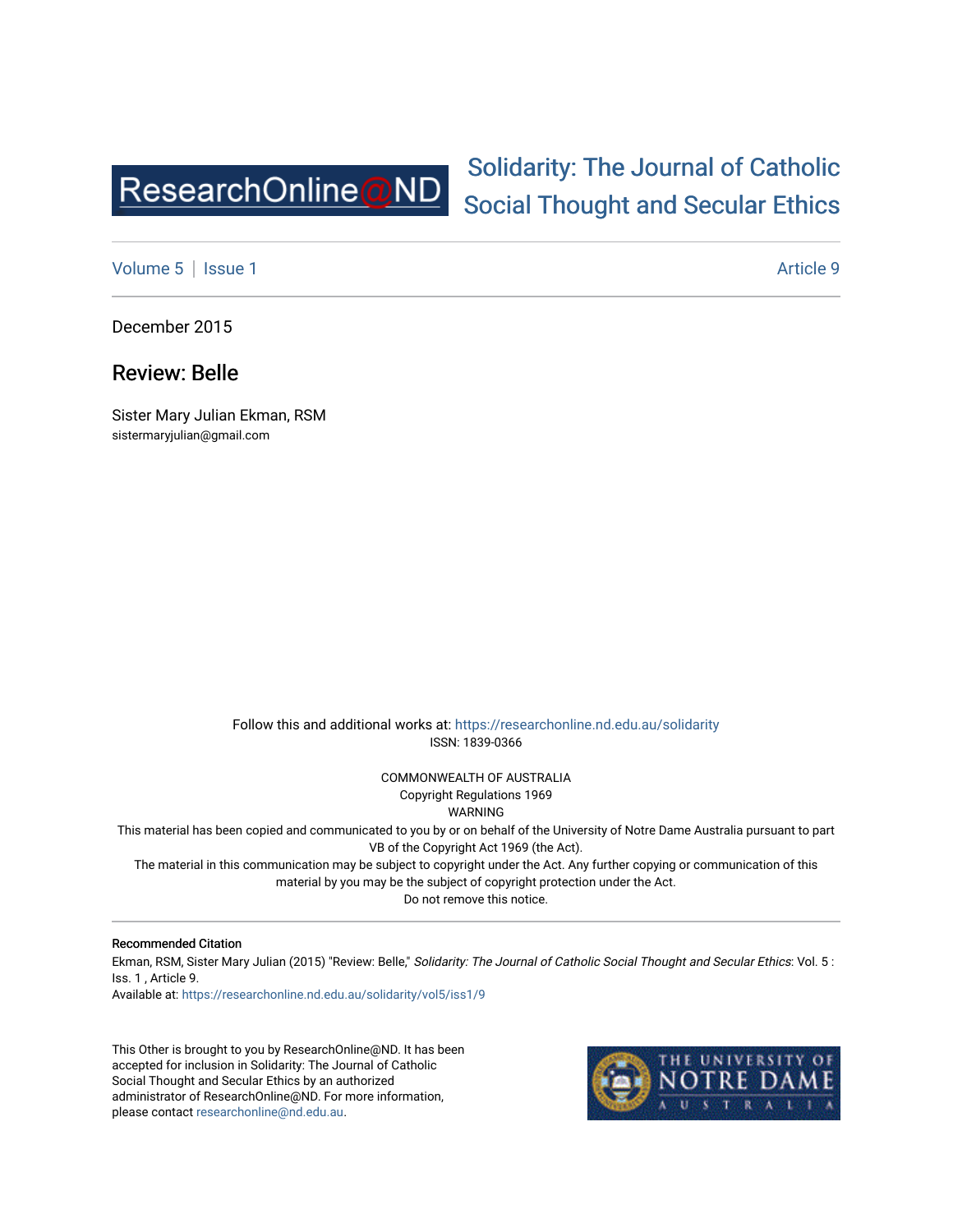

# [Solidarity: The Journal of Catholic](https://researchonline.nd.edu.au/solidarity)  [Social Thought and Secular Ethics](https://researchonline.nd.edu.au/solidarity)

[Volume 5](https://researchonline.nd.edu.au/solidarity/vol5) | [Issue 1](https://researchonline.nd.edu.au/solidarity/vol5/iss1) Article 9

December 2015

Review: Belle

Sister Mary Julian Ekman, RSM sistermaryjulian@gmail.com

> Follow this and additional works at: [https://researchonline.nd.edu.au/solidarity](https://researchonline.nd.edu.au/solidarity?utm_source=researchonline.nd.edu.au%2Fsolidarity%2Fvol5%2Fiss1%2F9&utm_medium=PDF&utm_campaign=PDFCoverPages)  ISSN: 1839-0366

> > COMMONWEALTH OF AUSTRALIA Copyright Regulations 1969

WARNING

This material has been copied and communicated to you by or on behalf of the University of Notre Dame Australia pursuant to part VB of the Copyright Act 1969 (the Act).

The material in this communication may be subject to copyright under the Act. Any further copying or communication of this material by you may be the subject of copyright protection under the Act.

Do not remove this notice.

#### Recommended Citation

Ekman, RSM, Sister Mary Julian (2015) "Review: Belle," Solidarity: The Journal of Catholic Social Thought and Secular Ethics: Vol. 5 : Iss. 1 , Article 9.

Available at: [https://researchonline.nd.edu.au/solidarity/vol5/iss1/9](https://researchonline.nd.edu.au/solidarity/vol5/iss1/9?utm_source=researchonline.nd.edu.au%2Fsolidarity%2Fvol5%2Fiss1%2F9&utm_medium=PDF&utm_campaign=PDFCoverPages) 

This Other is brought to you by ResearchOnline@ND. It has been accepted for inclusion in Solidarity: The Journal of Catholic Social Thought and Secular Ethics by an authorized administrator of ResearchOnline@ND. For more information, please contact [researchonline@nd.edu.au.](mailto:researchonline@nd.edu.au)

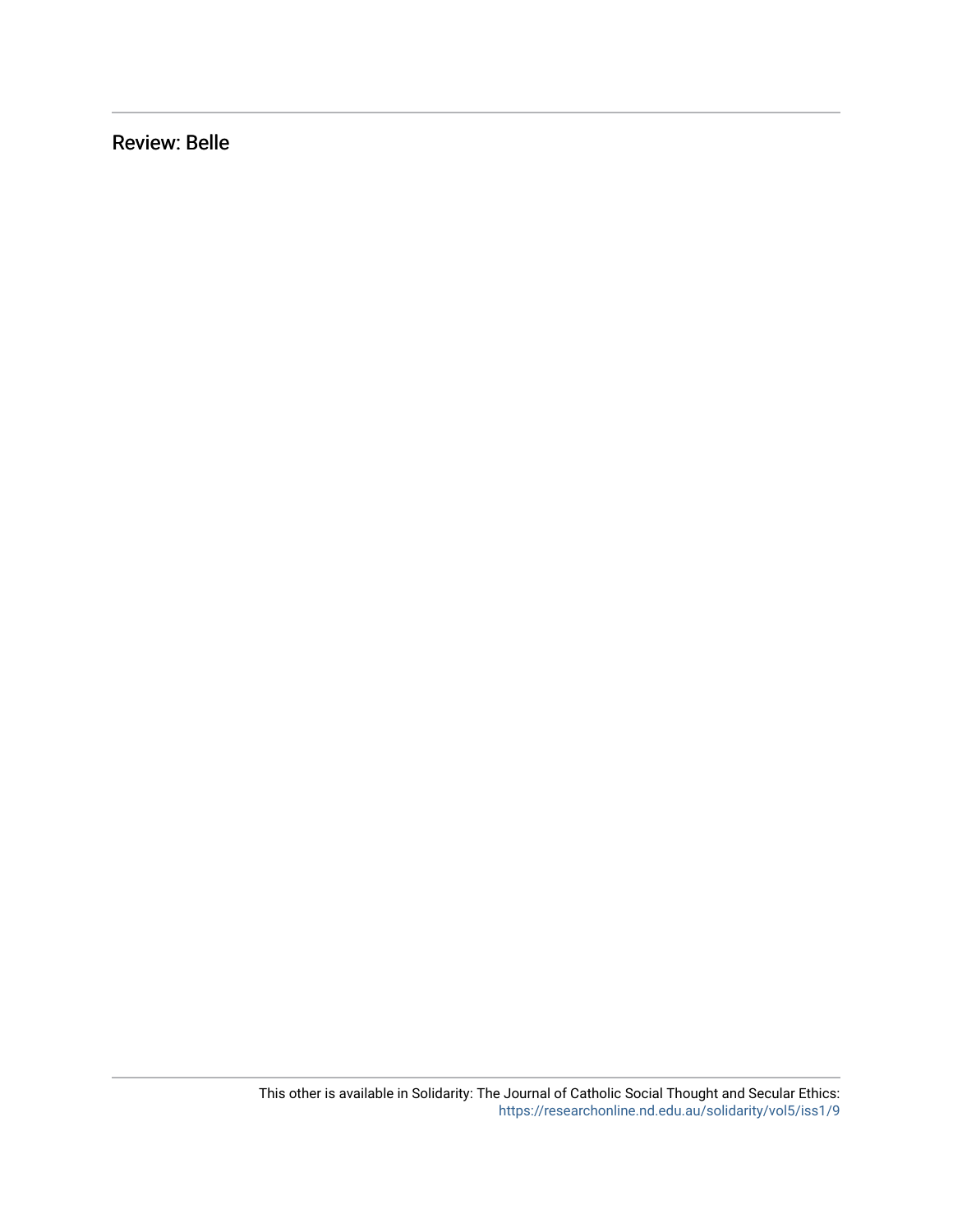Review: Belle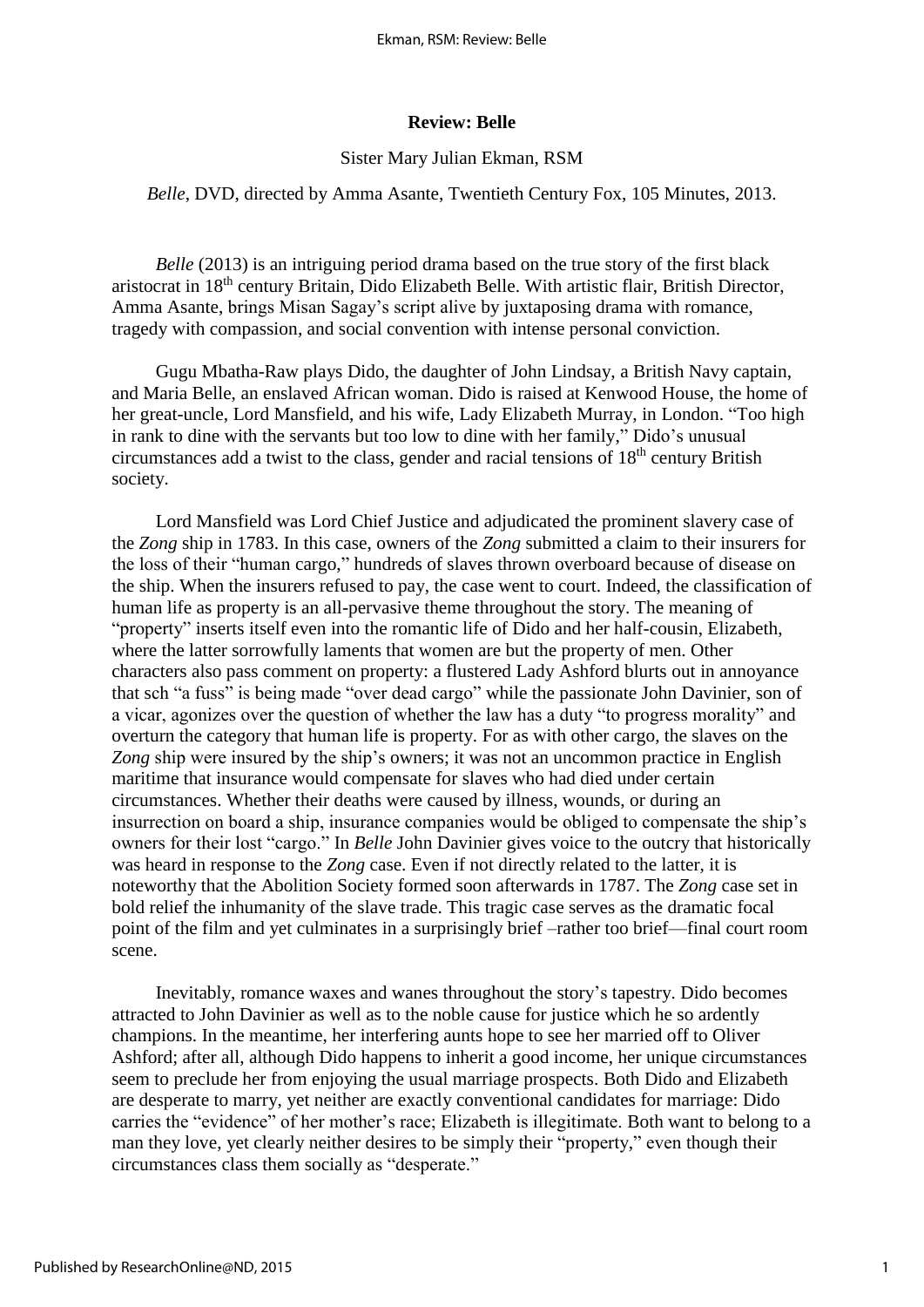#### **Review: Belle**

#### Sister Mary Julian Ekman, RSM

#### *Belle*, DVD, directed by Amma Asante, Twentieth Century Fox, 105 Minutes, 2013.

*Belle* (2013) is an intriguing period drama based on the true story of the first black aristocrat in 18th century Britain, Dido Elizabeth Belle. With artistic flair, British Director, Amma Asante, brings Misan Sagay's script alive by juxtaposing drama with romance, tragedy with compassion, and social convention with intense personal conviction.

[Gugu Mbatha-Raw](https://en.wikipedia.org/wiki/Gugu_Mbatha-Raw) plays Dido, the daughter of John Lindsay, a British Navy captain, and Maria Belle, an enslaved African woman. Dido is raised at Kenwood House, the home of her great-uncle, Lord Mansfield, and his wife, Lady Elizabeth Murray, in London. "Too high in rank to dine with the servants but too low to dine with her family," Dido's unusual circumstances add a twist to the class, gender and racial tensions of  $18<sup>th</sup>$  century British society.

Lord Mansfield was Lord Chief Justice and adjudicated the prominent slavery case of the *Zong* ship in 1783. In this case, owners of the *Zong* submitted a claim to their insurers for the loss of their "human cargo," hundreds of slaves thrown overboard because of disease on the ship. When the insurers refused to pay, the case went to court. Indeed, the classification of human life as property is an all-pervasive theme throughout the story. The meaning of "property" inserts itself even into the romantic life of Dido and her half-cousin, Elizabeth, where the latter sorrowfully laments that women are but the property of men. Other characters also pass comment on property: a flustered Lady Ashford blurts out in annoyance that sch "a fuss" is being made "over dead cargo" while the passionate John Davinier, son of a vicar, agonizes over the question of whether the law has a duty "to progress morality" and overturn the category that human life is property. For as with other cargo, the slaves on the *Zong* ship were insured by the ship's owners; it was not an uncommon practice in English maritime that insurance would compensate for slaves who had died under certain circumstances. Whether their deaths were caused by illness, wounds, or during an insurrection on board a ship, insurance companies would be obliged to compensate the ship's owners for their lost "cargo." In *Belle* John Davinier gives voice to the outcry that historically was heard in response to the *Zong* case. Even if not directly related to the latter, it is noteworthy that the Abolition Society formed soon afterwards in 1787. The *Zong* case set in bold relief the inhumanity of the slave trade. This tragic case serves as the dramatic focal point of the film and yet culminates in a surprisingly brief –rather too brief—final court room scene.

Inevitably, romance waxes and wanes throughout the story's tapestry. Dido becomes attracted to John Davinier as well as to the noble cause for justice which he so ardently champions. In the meantime, her interfering aunts hope to see her married off to Oliver Ashford; after all, although Dido happens to inherit a good income, her unique circumstances seem to preclude her from enjoying the usual marriage prospects. Both Dido and Elizabeth are desperate to marry, yet neither are exactly conventional candidates for marriage: Dido carries the "evidence" of her mother's race; Elizabeth is illegitimate. Both want to belong to a man they love, yet clearly neither desires to be simply their "property," even though their circumstances class them socially as "desperate."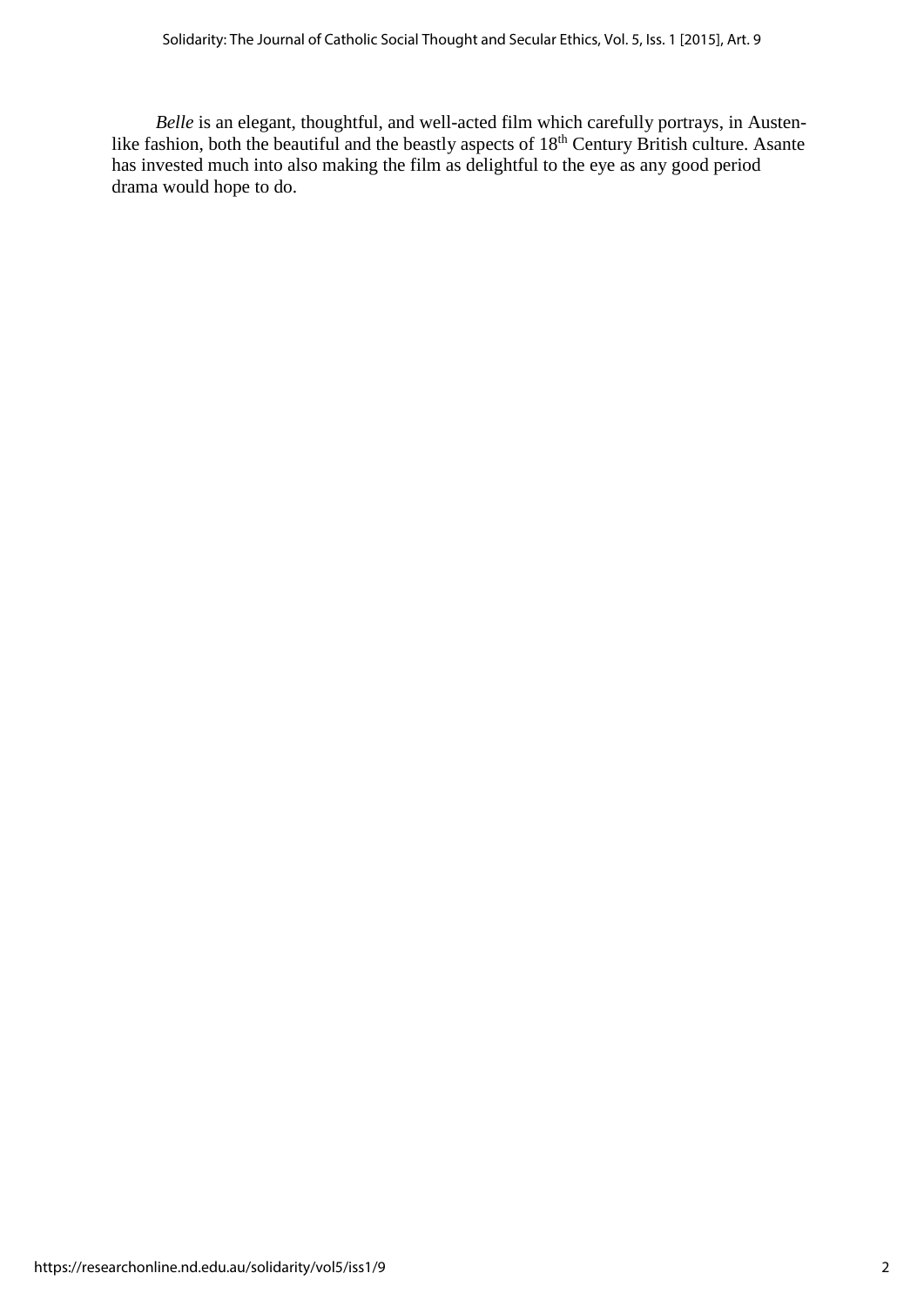*Belle* is an elegant, thoughtful, and well-acted film which carefully portrays, in Austenlike fashion, both the beautiful and the beastly aspects of 18<sup>th</sup> Century British culture. Asante has invested much into also making the film as delightful to the eye as any good period drama would hope to do.